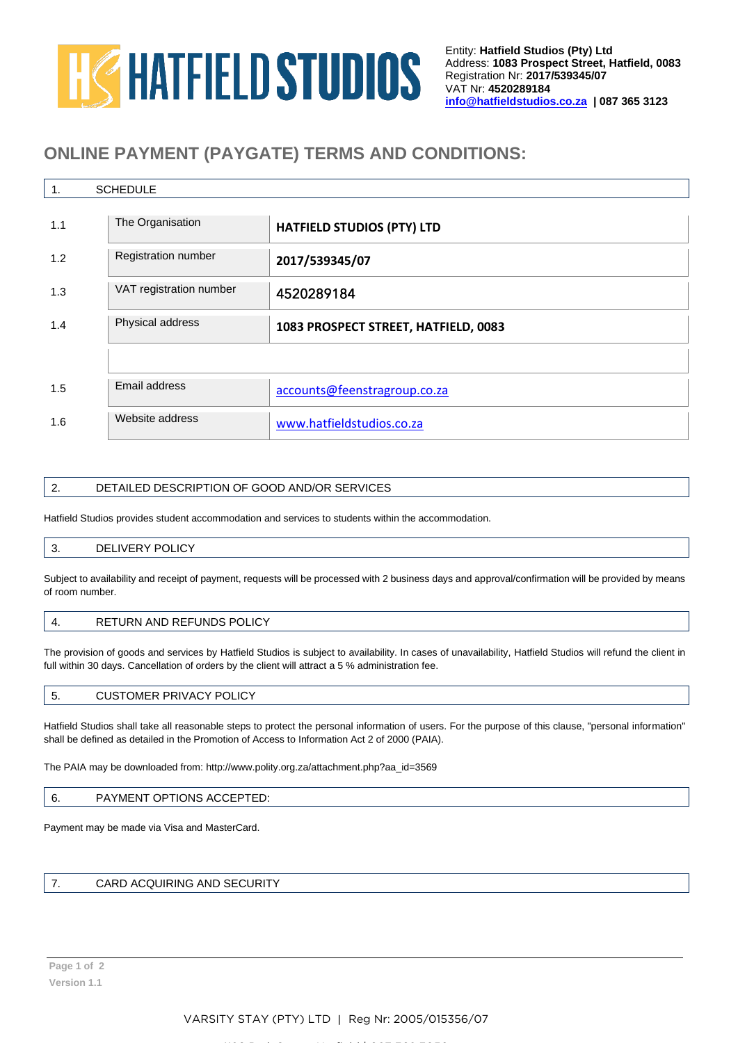# **HG HATFIELD STUDIOS**

# **ONLINE PAYMENT (PAYGATE) TERMS AND CONDITIONS:**

| <b>SCHEDULE</b><br>1. |                         |                                      |  |  |  |  |  |  |
|-----------------------|-------------------------|--------------------------------------|--|--|--|--|--|--|
| 1.1                   | The Organisation        | <b>HATFIELD STUDIOS (PTY) LTD</b>    |  |  |  |  |  |  |
| 1.2                   | Registration number     | 2017/539345/07                       |  |  |  |  |  |  |
| 1.3                   | VAT registration number | 4520289184                           |  |  |  |  |  |  |
| 1.4                   | Physical address        | 1083 PROSPECT STREET, HATFIELD, 0083 |  |  |  |  |  |  |
|                       |                         |                                      |  |  |  |  |  |  |
| 1.5                   | Email address           | accounts@feenstragroup.co.za         |  |  |  |  |  |  |
| 1.6                   | Website address         | www.hatfieldstudios.co.za            |  |  |  |  |  |  |

### 2. DETAILED DESCRIPTION OF GOOD AND/OR SERVICES

Hatfield Studios provides student accommodation and services to students within the accommodation.

### 3. DELIVERY POLICY

Subject to availability and receipt of payment, requests will be processed with 2 business days and approval/confirmation will be provided by means of room number.

### 4. RETURN AND REFUNDS POLICY

The provision of goods and services by Hatfield Studios is subject to availability. In cases of unavailability, Hatfield Studios will refund the client in full within 30 days. Cancellation of orders by the client will attract a 5 % administration fee.

### 5. CUSTOMER PRIVACY POLICY

Hatfield Studios shall take all reasonable steps to protect the personal information of users. For the purpose of this clause, "personal information" shall be defined as detailed in the Promotion of Access to Information Act 2 of 2000 (PAIA).

The PAIA may be downloaded from: [http://www.polity.org.za/attachment.php?aa\\_id=3569](http://www.polity.org.za/attachment.php?aa_id=3569)

#### 6. PAYMENT OPTIONS ACCEPTED:

Payment may be made via Visa and MasterCard.

### 7. CARD ACQUIRING AND SECURITY